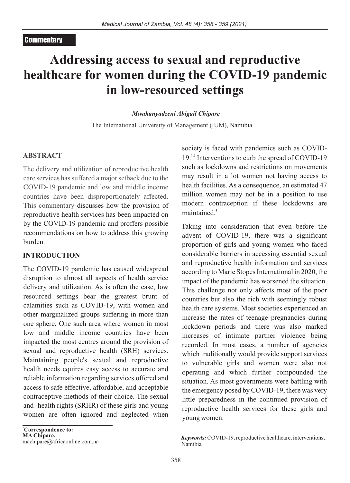## **Commentary**

# **Addressing access to sexual and reproductive healthcare for women during the COVID-19 pandemic in low-resourced settings**

#### *Mwakanyadzeni Abigail Chipare*

The International University of Management (IUM), Namibia

#### **ABSTRACT**

The delivery and utilization of reproductive health care services has suffered a major setback due to the COVID-19 pandemic and low and middle income countries have been disproportionately affected. This commentary discusses how the provision of reproductive health services has been impacted on by the COVID-19 pandemic and proffers possible recommendations on how to address this growing burden.

### **INTRODUCTION**

The COVID-19 pandemic has caused widespread disruption to almost all aspects of health service delivery and utilization. As is often the case, low resourced settings bear the greatest brunt of calamities such as COVID-19, with women and other marginalized groups suffering in more than one sphere. One such area where women in most low and middle income countries have been impacted the most centres around the provision of sexual and reproductive health (SRH) services. Maintaining people's sexual and reproductive health needs equires easy access to accurate and reliable information regarding services offered and access to safe effective, affordable, and acceptable contraceptive methods of their choice. The sexual and health rights (SRHR) of these girls and young women are often ignored and neglected when

**\*Correspondence to: MA Chipare,**  machipare@africaonline.com.na society is faced with pandemics such as COVID- $19<sup>1,2</sup>$  Interventions to curb the spread of COVID-19 such as lockdowns and restrictions on movements may result in a lot women not having access to health facilities. As a consequence, an estimated 47 million women may not be in a position to use modern contraception if these lockdowns are  $m$ aintained. $3$ 

Taking into consideration that even before the advent of COVID-19, there was a significant proportion of girls and young women who faced considerable barriers in accessing essential sexual and reproductive health information and services according to Marie Stopes International in 2020, the impact of the pandemic has worsened the situation. This challenge not only affects most of the poor countries but also the rich with seemingly robust health care systems. Most societies experienced an increase the rates of teenage pregnancies during lockdown periods and there was also marked increases of intimate partner violence being recorded. In most cases, a number of agencies which traditionally would provide support services to vulnerable girls and women were also not operating and which further compounded the situation. As most governments were battling with the emergency posed by COVID-19, there was very little preparedness in the continued provision of reproductive health services for these girls and young women.

*Keywords:*COVID-19, reproductive healthcare, interventions, Namibia